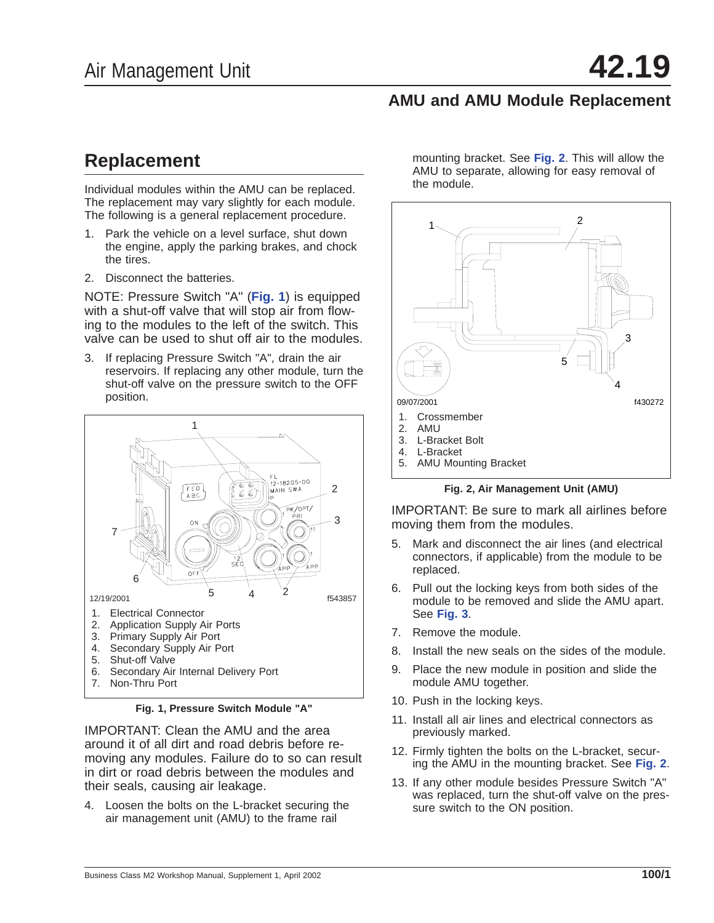## **AMU and AMU Module Replacement**

## **Replacement**

Individual modules within the AMU can be replaced. The replacement may vary slightly for each module. The following is a general replacement procedure.

- 1. Park the vehicle on a level surface, shut down the engine, apply the parking brakes, and chock the tires.
- 2. Disconnect the batteries.

NOTE: Pressure Switch "A" (**Fig. 1**) is equipped with a shut-off valve that will stop air from flowing to the modules to the left of the switch. This valve can be used to shut off air to the modules.

3. If replacing Pressure Switch "A", drain the air reservoirs. If replacing any other module, turn the shut-off valve on the pressure switch to the OFF position.



**Fig. 1, Pressure Switch Module "A"**

IMPORTANT: Clean the AMU and the area around it of all dirt and road debris before removing any modules. Failure do to so can result in dirt or road debris between the modules and their seals, causing air leakage.

4. Loosen the bolts on the L-bracket securing the air management unit (AMU) to the frame rail

mounting bracket. See **Fig. 2**. This will allow the AMU to separate, allowing for easy removal of the module.



**Fig. 2, Air Management Unit (AMU)**

IMPORTANT: Be sure to mark all airlines before moving them from the modules.

- 5. Mark and disconnect the air lines (and electrical connectors, if applicable) from the module to be replaced.
- 6. Pull out the locking keys from both sides of the module to be removed and slide the AMU apart. See **[Fig. 3](#page-1-0)**.
- 7. Remove the module.
- 8. Install the new seals on the sides of the module.
- 9. Place the new module in position and slide the module AMU together.
- 10. Push in the locking keys.
- 11. Install all air lines and electrical connectors as previously marked.
- 12. Firmly tighten the bolts on the L-bracket, securing the AMU in the mounting bracket. See **Fig. 2**.
- 13. If any other module besides Pressure Switch "A" was replaced, turn the shut-off valve on the pressure switch to the ON position.